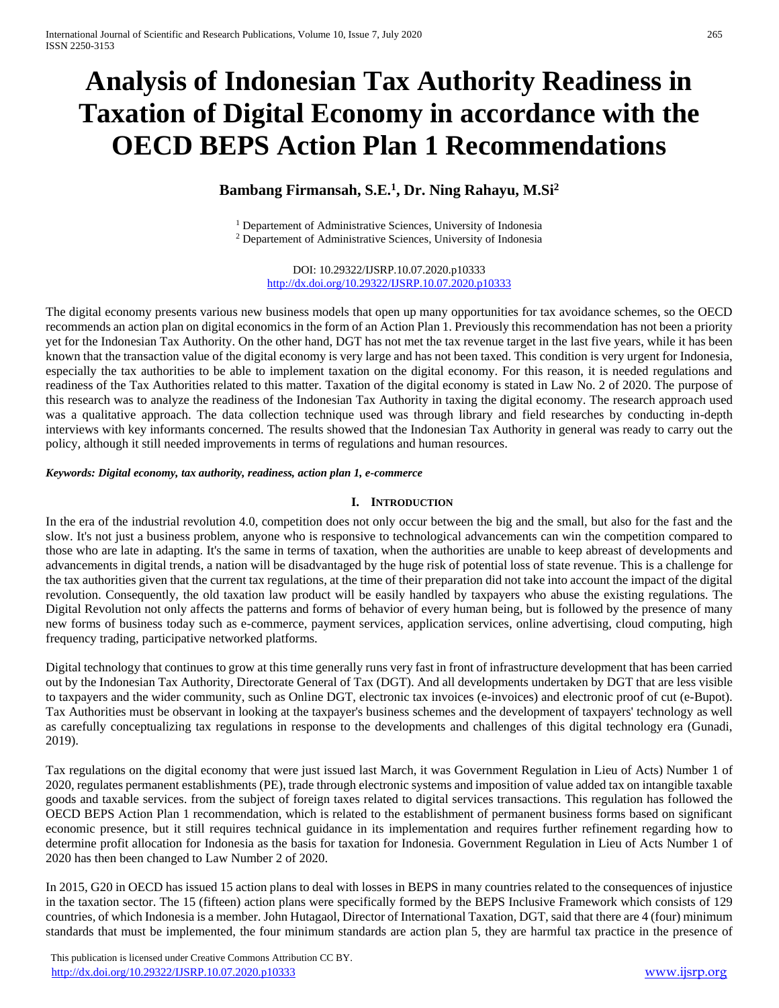# **Analysis of Indonesian Tax Authority Readiness in Taxation of Digital Economy in accordance with the OECD BEPS Action Plan 1 Recommendations**

# **Bambang Firmansah, S.E.<sup>1</sup> , Dr. Ning Rahayu, M.Si<sup>2</sup>**

<sup>1</sup> Departement of Administrative Sciences, University of Indonesia <sup>2</sup> Departement of Administrative Sciences, University of Indonesia

DOI: 10.29322/IJSRP.10.07.2020.p10333 <http://dx.doi.org/10.29322/IJSRP.10.07.2020.p10333>

The digital economy presents various new business models that open up many opportunities for tax avoidance schemes, so the OECD recommends an action plan on digital economics in the form of an Action Plan 1. Previously this recommendation has not been a priority yet for the Indonesian Tax Authority. On the other hand, DGT has not met the tax revenue target in the last five years, while it has been known that the transaction value of the digital economy is very large and has not been taxed. This condition is very urgent for Indonesia, especially the tax authorities to be able to implement taxation on the digital economy. For this reason, it is needed regulations and readiness of the Tax Authorities related to this matter. Taxation of the digital economy is stated in Law No. 2 of 2020. The purpose of this research was to analyze the readiness of the Indonesian Tax Authority in taxing the digital economy. The research approach used was a qualitative approach. The data collection technique used was through library and field researches by conducting in-depth interviews with key informants concerned. The results showed that the Indonesian Tax Authority in general was ready to carry out the policy, although it still needed improvements in terms of regulations and human resources.

#### *Keywords: Digital economy, tax authority, readiness, action plan 1, e-commerce*

#### **I. INTRODUCTION**

In the era of the industrial revolution 4.0, competition does not only occur between the big and the small, but also for the fast and the slow. It's not just a business problem, anyone who is responsive to technological advancements can win the competition compared to those who are late in adapting. It's the same in terms of taxation, when the authorities are unable to keep abreast of developments and advancements in digital trends, a nation will be disadvantaged by the huge risk of potential loss of state revenue. This is a challenge for the tax authorities given that the current tax regulations, at the time of their preparation did not take into account the impact of the digital revolution. Consequently, the old taxation law product will be easily handled by taxpayers who abuse the existing regulations. The Digital Revolution not only affects the patterns and forms of behavior of every human being, but is followed by the presence of many new forms of business today such as e-commerce, payment services, application services, online advertising, cloud computing, high frequency trading, participative networked platforms.

Digital technology that continues to grow at this time generally runs very fast in front of infrastructure development that has been carried out by the Indonesian Tax Authority, Directorate General of Tax (DGT). And all developments undertaken by DGT that are less visible to taxpayers and the wider community, such as Online DGT, electronic tax invoices (e-invoices) and electronic proof of cut (e-Bupot). Tax Authorities must be observant in looking at the taxpayer's business schemes and the development of taxpayers' technology as well as carefully conceptualizing tax regulations in response to the developments and challenges of this digital technology era (Gunadi, 2019).

Tax regulations on the digital economy that were just issued last March, it was Government Regulation in Lieu of Acts) Number 1 of 2020, regulates permanent establishments (PE), trade through electronic systems and imposition of value added tax on intangible taxable goods and taxable services. from the subject of foreign taxes related to digital services transactions. This regulation has followed the OECD BEPS Action Plan 1 recommendation, which is related to the establishment of permanent business forms based on significant economic presence, but it still requires technical guidance in its implementation and requires further refinement regarding how to determine profit allocation for Indonesia as the basis for taxation for Indonesia. Government Regulation in Lieu of Acts Number 1 of 2020 has then been changed to Law Number 2 of 2020.

In 2015, G20 in OECD has issued 15 action plans to deal with losses in BEPS in many countries related to the consequences of injustice in the taxation sector. The 15 (fifteen) action plans were specifically formed by the BEPS Inclusive Framework which consists of 129 countries, of which Indonesia is a member. John Hutagaol, Director of International Taxation, DGT, said that there are 4 (four) minimum standards that must be implemented, the four minimum standards are action plan 5, they are harmful tax practice in the presence of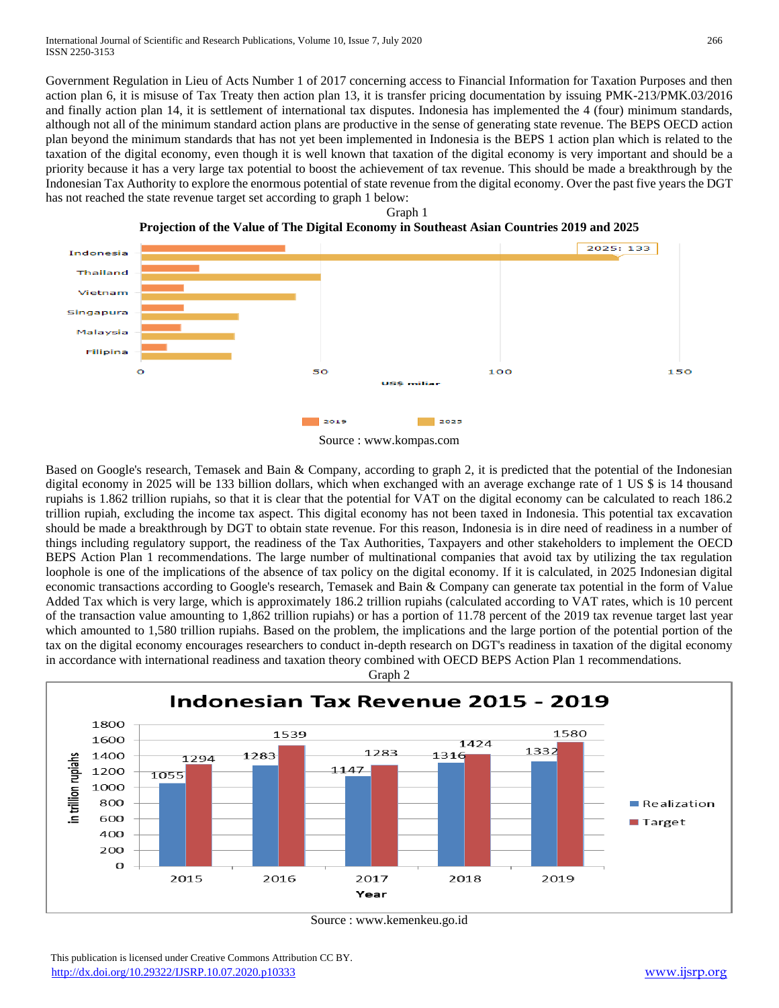Government Regulation in Lieu of Acts Number 1 of 2017 concerning access to Financial Information for Taxation Purposes and then action plan 6, it is misuse of Tax Treaty then action plan 13, it is transfer pricing documentation by issuing PMK-213/PMK.03/2016 and finally action plan 14, it is settlement of international tax disputes. Indonesia has implemented the 4 (four) minimum standards, although not all of the minimum standard action plans are productive in the sense of generating state revenue. The BEPS OECD action plan beyond the minimum standards that has not yet been implemented in Indonesia is the BEPS 1 action plan which is related to the taxation of the digital economy, even though it is well known that taxation of the digital economy is very important and should be a priority because it has a very large tax potential to boost the achievement of tax revenue. This should be made a breakthrough by the Indonesian Tax Authority to explore the enormous potential of state revenue from the digital economy. Over the past five years the DGT has not reached the state revenue target set according to graph 1 below:





Based on Google's research, Temasek and Bain & Company, according to graph 2, it is predicted that the potential of the Indonesian digital economy in 2025 will be 133 billion dollars, which when exchanged with an average exchange rate of 1 US \$ is 14 thousand rupiahs is 1.862 trillion rupiahs, so that it is clear that the potential for VAT on the digital economy can be calculated to reach 186.2 trillion rupiah, excluding the income tax aspect. This digital economy has not been taxed in Indonesia. This potential tax excavation should be made a breakthrough by DGT to obtain state revenue. For this reason, Indonesia is in dire need of readiness in a number of things including regulatory support, the readiness of the Tax Authorities, Taxpayers and other stakeholders to implement the OECD BEPS Action Plan 1 recommendations. The large number of multinational companies that avoid tax by utilizing the tax regulation loophole is one of the implications of the absence of tax policy on the digital economy. If it is calculated, in 2025 Indonesian digital economic transactions according to Google's research, Temasek and Bain & Company can generate tax potential in the form of Value Added Tax which is very large, which is approximately 186.2 trillion rupiahs (calculated according to VAT rates, which is 10 percent of the transaction value amounting to 1,862 trillion rupiahs) or has a portion of 11.78 percent of the 2019 tax revenue target last year which amounted to 1,580 trillion rupiahs. Based on the problem, the implications and the large portion of the potential portion of the tax on the digital economy encourages researchers to conduct in-depth research on DGT's readiness in taxation of the digital economy in accordance with international readiness and taxation theory combined with OECD BEPS Action Plan 1 recommendations.



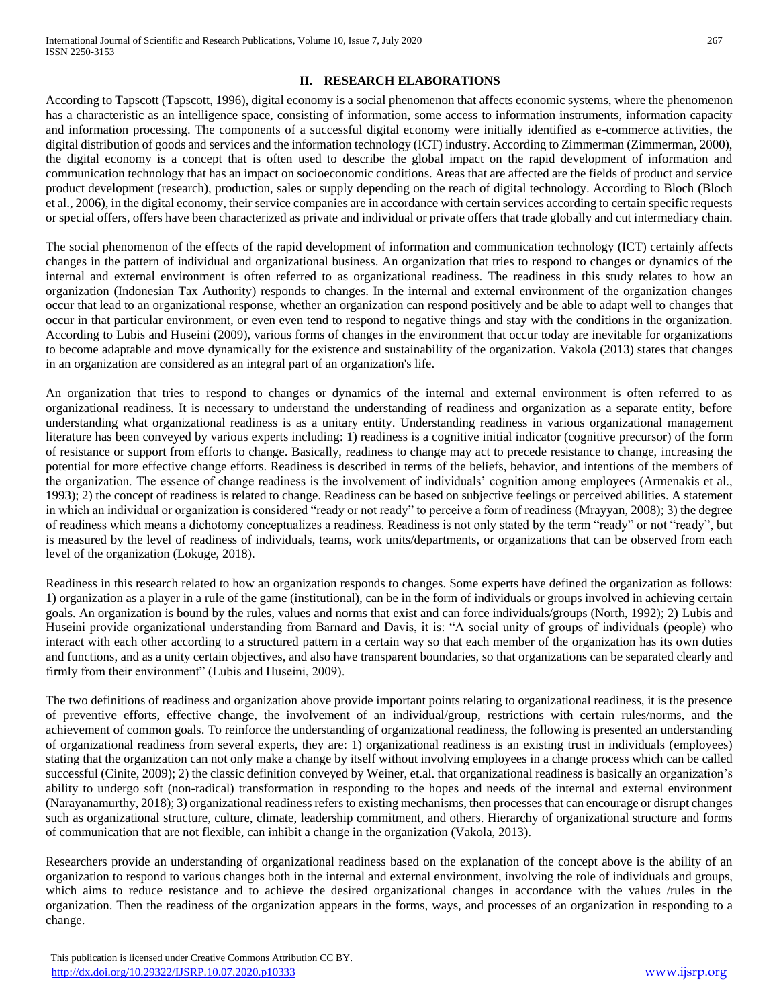# **II. RESEARCH ELABORATIONS**

According to Tapscott (Tapscott, 1996), digital economy is a social phenomenon that affects economic systems, where the phenomenon has a characteristic as an intelligence space, consisting of information, some access to information instruments, information capacity and information processing. The components of a successful digital economy were initially identified as e-commerce activities, the digital distribution of goods and services and the information technology (ICT) industry. According to Zimmerman (Zimmerman, 2000), the digital economy is a concept that is often used to describe the global impact on the rapid development of information and communication technology that has an impact on socioeconomic conditions. Areas that are affected are the fields of product and service product development (research), production, sales or supply depending on the reach of digital technology. According to Bloch (Bloch et al., 2006), in the digital economy, their service companies are in accordance with certain services according to certain specific requests or special offers, offers have been characterized as private and individual or private offers that trade globally and cut intermediary chain.

The social phenomenon of the effects of the rapid development of information and communication technology (ICT) certainly affects changes in the pattern of individual and organizational business. An organization that tries to respond to changes or dynamics of the internal and external environment is often referred to as organizational readiness. The readiness in this study relates to how an organization (Indonesian Tax Authority) responds to changes. In the internal and external environment of the organization changes occur that lead to an organizational response, whether an organization can respond positively and be able to adapt well to changes that occur in that particular environment, or even even tend to respond to negative things and stay with the conditions in the organization. According to Lubis and Huseini (2009), various forms of changes in the environment that occur today are inevitable for organizations to become adaptable and move dynamically for the existence and sustainability of the organization. Vakola (2013) states that changes in an organization are considered as an integral part of an organization's life.

An organization that tries to respond to changes or dynamics of the internal and external environment is often referred to as organizational readiness. It is necessary to understand the understanding of readiness and organization as a separate entity, before understanding what organizational readiness is as a unitary entity. Understanding readiness in various organizational management literature has been conveyed by various experts including: 1) readiness is a cognitive initial indicator (cognitive precursor) of the form of resistance or support from efforts to change. Basically, readiness to change may act to precede resistance to change, increasing the potential for more effective change efforts. Readiness is described in terms of the beliefs, behavior, and intentions of the members of the organization. The essence of change readiness is the involvement of individuals' cognition among employees (Armenakis et al., 1993); 2) the concept of readiness is related to change. Readiness can be based on subjective feelings or perceived abilities. A statement in which an individual or organization is considered "ready or not ready" to perceive a form of readiness (Mrayyan, 2008); 3) the degree of readiness which means a dichotomy conceptualizes a readiness. Readiness is not only stated by the term "ready" or not "ready", but is measured by the level of readiness of individuals, teams, work units/departments, or organizations that can be observed from each level of the organization (Lokuge, 2018).

Readiness in this research related to how an organization responds to changes. Some experts have defined the organization as follows: 1) organization as a player in a rule of the game (institutional), can be in the form of individuals or groups involved in achieving certain goals. An organization is bound by the rules, values and norms that exist and can force individuals/groups (North, 1992); 2) Lubis and Huseini provide organizational understanding from Barnard and Davis, it is: "A social unity of groups of individuals (people) who interact with each other according to a structured pattern in a certain way so that each member of the organization has its own duties and functions, and as a unity certain objectives, and also have transparent boundaries, so that organizations can be separated clearly and firmly from their environment" (Lubis and Huseini, 2009).

The two definitions of readiness and organization above provide important points relating to organizational readiness, it is the presence of preventive efforts, effective change, the involvement of an individual/group, restrictions with certain rules/norms, and the achievement of common goals. To reinforce the understanding of organizational readiness, the following is presented an understanding of organizational readiness from several experts, they are: 1) organizational readiness is an existing trust in individuals (employees) stating that the organization can not only make a change by itself without involving employees in a change process which can be called successful (Cinite, 2009); 2) the classic definition conveyed by Weiner, et.al. that organizational readiness is basically an organization's ability to undergo soft (non-radical) transformation in responding to the hopes and needs of the internal and external environment (Narayanamurthy, 2018); 3) organizational readiness refers to existing mechanisms, then processes that can encourage or disrupt changes such as organizational structure, culture, climate, leadership commitment, and others. Hierarchy of organizational structure and forms of communication that are not flexible, can inhibit a change in the organization (Vakola, 2013).

Researchers provide an understanding of organizational readiness based on the explanation of the concept above is the ability of an organization to respond to various changes both in the internal and external environment, involving the role of individuals and groups, which aims to reduce resistance and to achieve the desired organizational changes in accordance with the values /rules in the organization. Then the readiness of the organization appears in the forms, ways, and processes of an organization in responding to a change.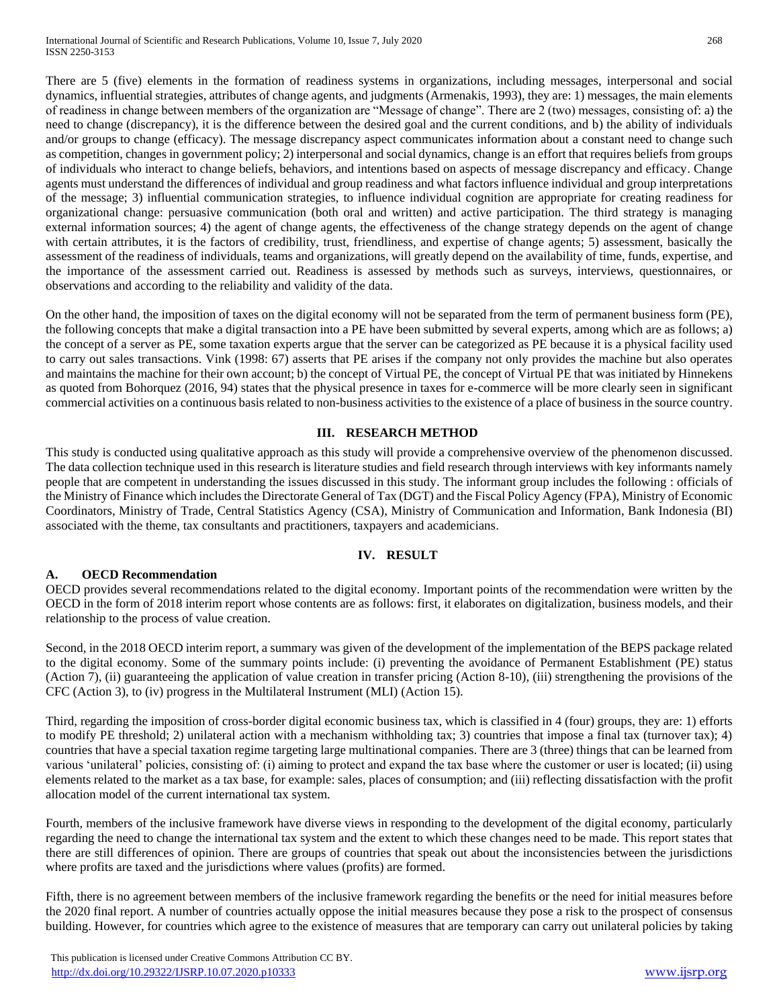There are 5 (five) elements in the formation of readiness systems in organizations, including messages, interpersonal and social dynamics, influential strategies, attributes of change agents, and judgments (Armenakis, 1993), they are: 1) messages, the main elements of readiness in change between members of the organization are "Message of change". There are 2 (two) messages, consisting of: a) the need to change (discrepancy), it is the difference between the desired goal and the current conditions, and b) the ability of individuals and/or groups to change (efficacy). The message discrepancy aspect communicates information about a constant need to change such as competition, changes in government policy; 2) interpersonal and social dynamics, change is an effort that requires beliefs from groups of individuals who interact to change beliefs, behaviors, and intentions based on aspects of message discrepancy and efficacy. Change agents must understand the differences of individual and group readiness and what factors influence individual and group interpretations of the message; 3) influential communication strategies, to influence individual cognition are appropriate for creating readiness for organizational change: persuasive communication (both oral and written) and active participation. The third strategy is managing external information sources; 4) the agent of change agents, the effectiveness of the change strategy depends on the agent of change with certain attributes, it is the factors of credibility, trust, friendliness, and expertise of change agents; 5) assessment, basically the assessment of the readiness of individuals, teams and organizations, will greatly depend on the availability of time, funds, expertise, and the importance of the assessment carried out. Readiness is assessed by methods such as surveys, interviews, questionnaires, or observations and according to the reliability and validity of the data.

On the other hand, the imposition of taxes on the digital economy will not be separated from the term of permanent business form (PE), the following concepts that make a digital transaction into a PE have been submitted by several experts, among which are as follows; a) the concept of a server as PE, some taxation experts argue that the server can be categorized as PE because it is a physical facility used to carry out sales transactions. Vink (1998: 67) asserts that PE arises if the company not only provides the machine but also operates and maintains the machine for their own account; b) the concept of Virtual PE, the concept of Virtual PE that was initiated by Hinnekens as quoted from Bohorquez (2016, 94) states that the physical presence in taxes for e-commerce will be more clearly seen in significant commercial activities on a continuous basis related to non-business activities to the existence of a place of business in the source country.

## **III. RESEARCH METHOD**

This study is conducted using qualitative approach as this study will provide a comprehensive overview of the phenomenon discussed. The data collection technique used in this research is literature studies and field research through interviews with key informants namely people that are competent in understanding the issues discussed in this study. The informant group includes the following : officials of the Ministry of Finance which includes the Directorate General of Tax (DGT) and the Fiscal Policy Agency (FPA), Ministry of Economic Coordinators, Ministry of Trade, Central Statistics Agency (CSA), Ministry of Communication and Information, Bank Indonesia (BI) associated with the theme, tax consultants and practitioners, taxpayers and academicians.

## **IV. RESULT**

## **A. OECD Recommendation**

OECD provides several recommendations related to the digital economy. Important points of the recommendation were written by the OECD in the form of 2018 interim report whose contents are as follows: first, it elaborates on digitalization, business models, and their relationship to the process of value creation.

Second, in the 2018 OECD interim report, a summary was given of the development of the implementation of the BEPS package related to the digital economy. Some of the summary points include: (i) preventing the avoidance of Permanent Establishment (PE) status (Action 7), (ii) guaranteeing the application of value creation in transfer pricing (Action 8-10), (iii) strengthening the provisions of the CFC (Action 3), to (iv) progress in the Multilateral Instrument (MLI) (Action 15).

Third, regarding the imposition of cross-border digital economic business tax, which is classified in 4 (four) groups, they are: 1) efforts to modify PE threshold; 2) unilateral action with a mechanism withholding tax; 3) countries that impose a final tax (turnover tax); 4) countries that have a special taxation regime targeting large multinational companies. There are 3 (three) things that can be learned from various 'unilateral' policies, consisting of: (i) aiming to protect and expand the tax base where the customer or user is located; (ii) using elements related to the market as a tax base, for example: sales, places of consumption; and (iii) reflecting dissatisfaction with the profit allocation model of the current international tax system.

Fourth, members of the inclusive framework have diverse views in responding to the development of the digital economy, particularly regarding the need to change the international tax system and the extent to which these changes need to be made. This report states that there are still differences of opinion. There are groups of countries that speak out about the inconsistencies between the jurisdictions where profits are taxed and the jurisdictions where values (profits) are formed.

Fifth, there is no agreement between members of the inclusive framework regarding the benefits or the need for initial measures before the 2020 final report. A number of countries actually oppose the initial measures because they pose a risk to the prospect of consensus building. However, for countries which agree to the existence of measures that are temporary can carry out unilateral policies by taking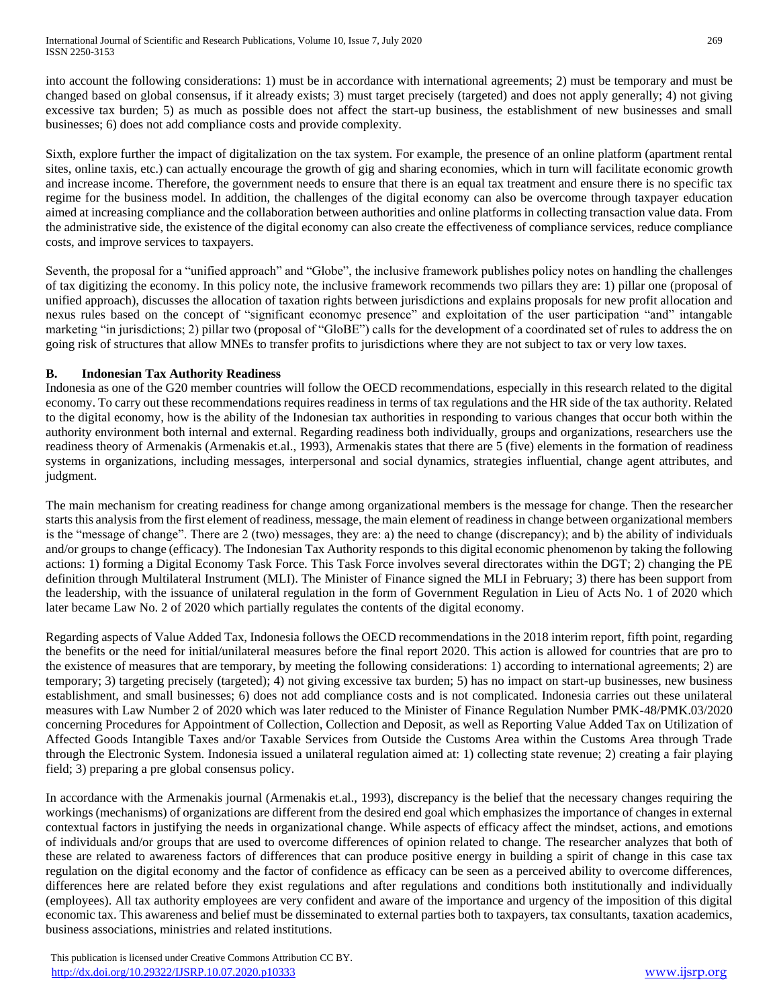into account the following considerations: 1) must be in accordance with international agreements; 2) must be temporary and must be changed based on global consensus, if it already exists; 3) must target precisely (targeted) and does not apply generally; 4) not giving excessive tax burden; 5) as much as possible does not affect the start-up business, the establishment of new businesses and small businesses; 6) does not add compliance costs and provide complexity.

Sixth, explore further the impact of digitalization on the tax system. For example, the presence of an online platform (apartment rental sites, online taxis, etc.) can actually encourage the growth of gig and sharing economies, which in turn will facilitate economic growth and increase income. Therefore, the government needs to ensure that there is an equal tax treatment and ensure there is no specific tax regime for the business model. In addition, the challenges of the digital economy can also be overcome through taxpayer education aimed at increasing compliance and the collaboration between authorities and online platforms in collecting transaction value data. From the administrative side, the existence of the digital economy can also create the effectiveness of compliance services, reduce compliance costs, and improve services to taxpayers.

Seventh, the proposal for a "unified approach" and "Globe", the inclusive framework publishes policy notes on handling the challenges of tax digitizing the economy. In this policy note, the inclusive framework recommends two pillars they are: 1) pillar one (proposal of unified approach), discusses the allocation of taxation rights between jurisdictions and explains proposals for new profit allocation and nexus rules based on the concept of "significant economyc presence" and exploitation of the user participation "and" intangable marketing "in jurisdictions; 2) pillar two (proposal of "GloBE") calls for the development of a coordinated set of rules to address the on going risk of structures that allow MNEs to transfer profits to jurisdictions where they are not subject to tax or very low taxes.

# **B. Indonesian Tax Authority Readiness**

Indonesia as one of the G20 member countries will follow the OECD recommendations, especially in this research related to the digital economy. To carry out these recommendations requires readiness in terms of tax regulations and the HR side of the tax authority. Related to the digital economy, how is the ability of the Indonesian tax authorities in responding to various changes that occur both within the authority environment both internal and external. Regarding readiness both individually, groups and organizations, researchers use the readiness theory of Armenakis (Armenakis et.al., 1993), Armenakis states that there are 5 (five) elements in the formation of readiness systems in organizations, including messages, interpersonal and social dynamics, strategies influential, change agent attributes, and judgment.

The main mechanism for creating readiness for change among organizational members is the message for change. Then the researcher starts this analysis from the first element of readiness, message, the main element of readiness in change between organizational members is the "message of change". There are 2 (two) messages, they are: a) the need to change (discrepancy); and b) the ability of individuals and/or groups to change (efficacy). The Indonesian Tax Authority responds to this digital economic phenomenon by taking the following actions: 1) forming a Digital Economy Task Force. This Task Force involves several directorates within the DGT; 2) changing the PE definition through Multilateral Instrument (MLI). The Minister of Finance signed the MLI in February; 3) there has been support from the leadership, with the issuance of unilateral regulation in the form of Government Regulation in Lieu of Acts No. 1 of 2020 which later became Law No. 2 of 2020 which partially regulates the contents of the digital economy.

Regarding aspects of Value Added Tax, Indonesia follows the OECD recommendations in the 2018 interim report, fifth point, regarding the benefits or the need for initial/unilateral measures before the final report 2020. This action is allowed for countries that are pro to the existence of measures that are temporary, by meeting the following considerations: 1) according to international agreements; 2) are temporary; 3) targeting precisely (targeted); 4) not giving excessive tax burden; 5) has no impact on start-up businesses, new business establishment, and small businesses; 6) does not add compliance costs and is not complicated. Indonesia carries out these unilateral measures with Law Number 2 of 2020 which was later reduced to the Minister of Finance Regulation Number PMK-48/PMK.03/2020 concerning Procedures for Appointment of Collection, Collection and Deposit, as well as Reporting Value Added Tax on Utilization of Affected Goods Intangible Taxes and/or Taxable Services from Outside the Customs Area within the Customs Area through Trade through the Electronic System. Indonesia issued a unilateral regulation aimed at: 1) collecting state revenue; 2) creating a fair playing field; 3) preparing a pre global consensus policy.

In accordance with the Armenakis journal (Armenakis et.al., 1993), discrepancy is the belief that the necessary changes requiring the workings (mechanisms) of organizations are different from the desired end goal which emphasizes the importance of changes in external contextual factors in justifying the needs in organizational change. While aspects of efficacy affect the mindset, actions, and emotions of individuals and/or groups that are used to overcome differences of opinion related to change. The researcher analyzes that both of these are related to awareness factors of differences that can produce positive energy in building a spirit of change in this case tax regulation on the digital economy and the factor of confidence as efficacy can be seen as a perceived ability to overcome differences, differences here are related before they exist regulations and after regulations and conditions both institutionally and individually (employees). All tax authority employees are very confident and aware of the importance and urgency of the imposition of this digital economic tax. This awareness and belief must be disseminated to external parties both to taxpayers, tax consultants, taxation academics, business associations, ministries and related institutions.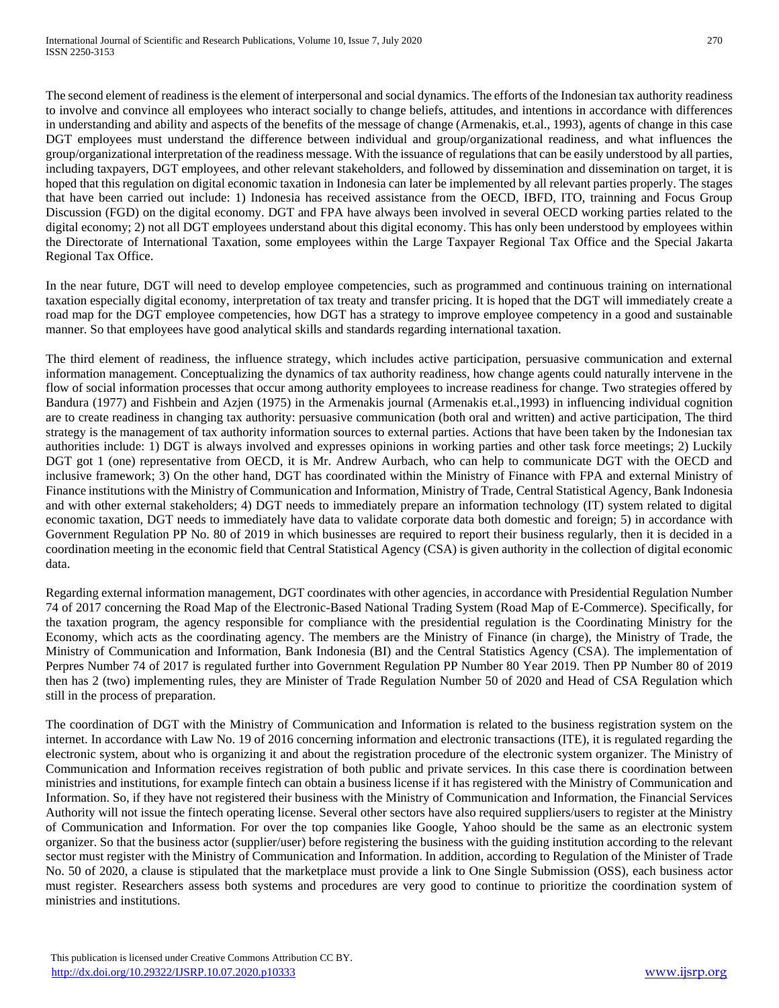The second element of readiness is the element of interpersonal and social dynamics. The efforts of the Indonesian tax authority readiness to involve and convince all employees who interact socially to change beliefs, attitudes, and intentions in accordance with differences in understanding and ability and aspects of the benefits of the message of change (Armenakis, et.al., 1993), agents of change in this case DGT employees must understand the difference between individual and group/organizational readiness, and what influences the group/organizational interpretation of the readiness message. With the issuance of regulations that can be easily understood by all parties, including taxpayers, DGT employees, and other relevant stakeholders, and followed by dissemination and dissemination on target, it is hoped that this regulation on digital economic taxation in Indonesia can later be implemented by all relevant parties properly. The stages that have been carried out include: 1) Indonesia has received assistance from the OECD, IBFD, ITO, trainning and Focus Group Discussion (FGD) on the digital economy. DGT and FPA have always been involved in several OECD working parties related to the digital economy; 2) not all DGT employees understand about this digital economy. This has only been understood by employees within the Directorate of International Taxation, some employees within the Large Taxpayer Regional Tax Office and the Special Jakarta Regional Tax Office.

In the near future, DGT will need to develop employee competencies, such as programmed and continuous training on international taxation especially digital economy, interpretation of tax treaty and transfer pricing. It is hoped that the DGT will immediately create a road map for the DGT employee competencies, how DGT has a strategy to improve employee competency in a good and sustainable manner. So that employees have good analytical skills and standards regarding international taxation.

The third element of readiness, the influence strategy, which includes active participation, persuasive communication and external information management. Conceptualizing the dynamics of tax authority readiness, how change agents could naturally intervene in the flow of social information processes that occur among authority employees to increase readiness for change. Two strategies offered by Bandura (1977) and Fishbein and Azjen (1975) in the Armenakis journal (Armenakis et.al.,1993) in influencing individual cognition are to create readiness in changing tax authority: persuasive communication (both oral and written) and active participation, The third strategy is the management of tax authority information sources to external parties. Actions that have been taken by the Indonesian tax authorities include: 1) DGT is always involved and expresses opinions in working parties and other task force meetings; 2) Luckily DGT got 1 (one) representative from OECD, it is Mr. Andrew Aurbach, who can help to communicate DGT with the OECD and inclusive framework; 3) On the other hand, DGT has coordinated within the Ministry of Finance with FPA and external Ministry of Finance institutions with the Ministry of Communication and Information, Ministry of Trade, Central Statistical Agency, Bank Indonesia and with other external stakeholders; 4) DGT needs to immediately prepare an information technology (IT) system related to digital economic taxation, DGT needs to immediately have data to validate corporate data both domestic and foreign; 5) in accordance with Government Regulation PP No. 80 of 2019 in which businesses are required to report their business regularly, then it is decided in a coordination meeting in the economic field that Central Statistical Agency (CSA) is given authority in the collection of digital economic data.

Regarding external information management, DGT coordinates with other agencies, in accordance with Presidential Regulation Number 74 of 2017 concerning the Road Map of the Electronic-Based National Trading System (Road Map of E-Commerce). Specifically, for the taxation program, the agency responsible for compliance with the presidential regulation is the Coordinating Ministry for the Economy, which acts as the coordinating agency. The members are the Ministry of Finance (in charge), the Ministry of Trade, the Ministry of Communication and Information, Bank Indonesia (BI) and the Central Statistics Agency (CSA). The implementation of Perpres Number 74 of 2017 is regulated further into Government Regulation PP Number 80 Year 2019. Then PP Number 80 of 2019 then has 2 (two) implementing rules, they are Minister of Trade Regulation Number 50 of 2020 and Head of CSA Regulation which still in the process of preparation.

The coordination of DGT with the Ministry of Communication and Information is related to the business registration system on the internet. In accordance with Law No. 19 of 2016 concerning information and electronic transactions (ITE), it is regulated regarding the electronic system, about who is organizing it and about the registration procedure of the electronic system organizer. The Ministry of Communication and Information receives registration of both public and private services. In this case there is coordination between ministries and institutions, for example fintech can obtain a business license if it has registered with the Ministry of Communication and Information. So, if they have not registered their business with the Ministry of Communication and Information, the Financial Services Authority will not issue the fintech operating license. Several other sectors have also required suppliers/users to register at the Ministry of Communication and Information. For over the top companies like Google, Yahoo should be the same as an electronic system organizer. So that the business actor (supplier/user) before registering the business with the guiding institution according to the relevant sector must register with the Ministry of Communication and Information. In addition, according to Regulation of the Minister of Trade No. 50 of 2020, a clause is stipulated that the marketplace must provide a link to One Single Submission (OSS), each business actor must register. Researchers assess both systems and procedures are very good to continue to prioritize the coordination system of ministries and institutions.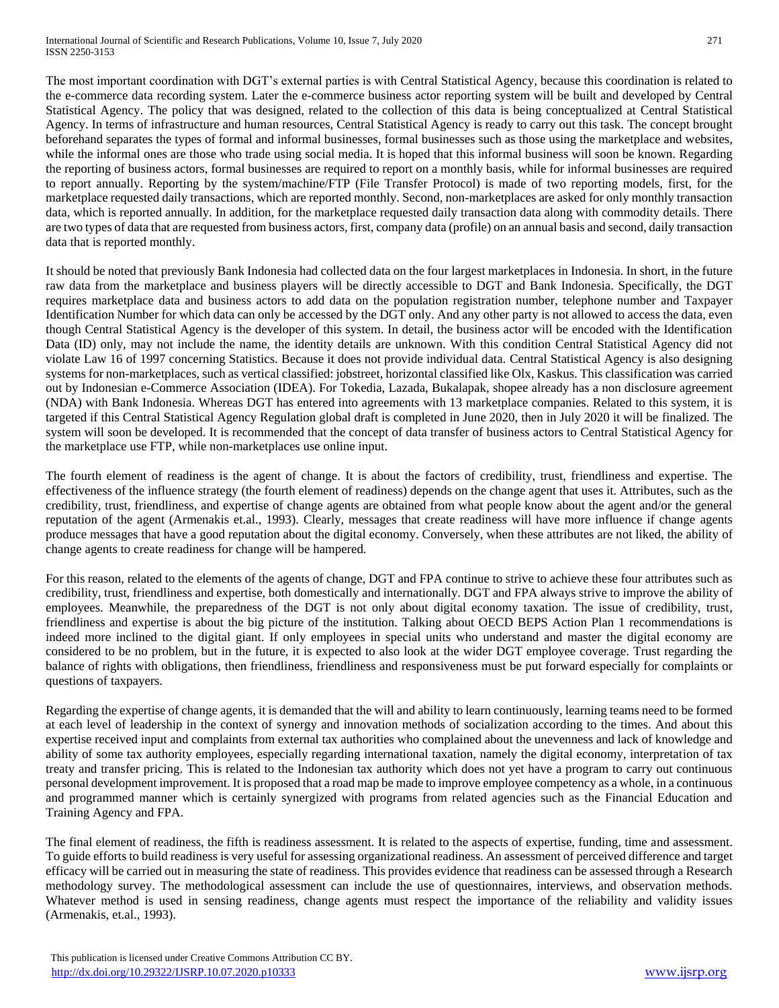The most important coordination with DGT's external parties is with Central Statistical Agency, because this coordination is related to the e-commerce data recording system. Later the e-commerce business actor reporting system will be built and developed by Central Statistical Agency. The policy that was designed, related to the collection of this data is being conceptualized at Central Statistical Agency. In terms of infrastructure and human resources, Central Statistical Agency is ready to carry out this task. The concept brought beforehand separates the types of formal and informal businesses, formal businesses such as those using the marketplace and websites, while the informal ones are those who trade using social media. It is hoped that this informal business will soon be known. Regarding the reporting of business actors, formal businesses are required to report on a monthly basis, while for informal businesses are required to report annually. Reporting by the system/machine/FTP (File Transfer Protocol) is made of two reporting models, first, for the marketplace requested daily transactions, which are reported monthly. Second, non-marketplaces are asked for only monthly transaction data, which is reported annually. In addition, for the marketplace requested daily transaction data along with commodity details. There are two types of data that are requested from business actors, first, company data (profile) on an annual basis and second, daily transaction data that is reported monthly.

It should be noted that previously Bank Indonesia had collected data on the four largest marketplaces in Indonesia. In short, in the future raw data from the marketplace and business players will be directly accessible to DGT and Bank Indonesia. Specifically, the DGT requires marketplace data and business actors to add data on the population registration number, telephone number and Taxpayer Identification Number for which data can only be accessed by the DGT only. And any other party is not allowed to access the data, even though Central Statistical Agency is the developer of this system. In detail, the business actor will be encoded with the Identification Data (ID) only, may not include the name, the identity details are unknown. With this condition Central Statistical Agency did not violate Law 16 of 1997 concerning Statistics. Because it does not provide individual data. Central Statistical Agency is also designing systems for non-marketplaces, such as vertical classified: jobstreet, horizontal classified like Olx, Kaskus. This classification was carried out by Indonesian e-Commerce Association (IDEA). For Tokedia, Lazada, Bukalapak, shopee already has a non disclosure agreement (NDA) with Bank Indonesia. Whereas DGT has entered into agreements with 13 marketplace companies. Related to this system, it is targeted if this Central Statistical Agency Regulation global draft is completed in June 2020, then in July 2020 it will be finalized. The system will soon be developed. It is recommended that the concept of data transfer of business actors to Central Statistical Agency for the marketplace use FTP, while non-marketplaces use online input.

The fourth element of readiness is the agent of change. It is about the factors of credibility, trust, friendliness and expertise. The effectiveness of the influence strategy (the fourth element of readiness) depends on the change agent that uses it. Attributes, such as the credibility, trust, friendliness, and expertise of change agents are obtained from what people know about the agent and/or the general reputation of the agent (Armenakis et.al., 1993). Clearly, messages that create readiness will have more influence if change agents produce messages that have a good reputation about the digital economy. Conversely, when these attributes are not liked, the ability of change agents to create readiness for change will be hampered.

For this reason, related to the elements of the agents of change, DGT and FPA continue to strive to achieve these four attributes such as credibility, trust, friendliness and expertise, both domestically and internationally. DGT and FPA always strive to improve the ability of employees. Meanwhile, the preparedness of the DGT is not only about digital economy taxation. The issue of credibility, trust, friendliness and expertise is about the big picture of the institution. Talking about OECD BEPS Action Plan 1 recommendations is indeed more inclined to the digital giant. If only employees in special units who understand and master the digital economy are considered to be no problem, but in the future, it is expected to also look at the wider DGT employee coverage. Trust regarding the balance of rights with obligations, then friendliness, friendliness and responsiveness must be put forward especially for complaints or questions of taxpayers.

Regarding the expertise of change agents, it is demanded that the will and ability to learn continuously, learning teams need to be formed at each level of leadership in the context of synergy and innovation methods of socialization according to the times. And about this expertise received input and complaints from external tax authorities who complained about the unevenness and lack of knowledge and ability of some tax authority employees, especially regarding international taxation, namely the digital economy, interpretation of tax treaty and transfer pricing. This is related to the Indonesian tax authority which does not yet have a program to carry out continuous personal development improvement. It is proposed that a road map be made to improve employee competency as a whole, in a continuous and programmed manner which is certainly synergized with programs from related agencies such as the Financial Education and Training Agency and FPA.

The final element of readiness, the fifth is readiness assessment. It is related to the aspects of expertise, funding, time and assessment. To guide efforts to build readiness is very useful for assessing organizational readiness. An assessment of perceived difference and target efficacy will be carried out in measuring the state of readiness. This provides evidence that readiness can be assessed through a Research methodology survey. The methodological assessment can include the use of questionnaires, interviews, and observation methods. Whatever method is used in sensing readiness, change agents must respect the importance of the reliability and validity issues (Armenakis, et.al., 1993).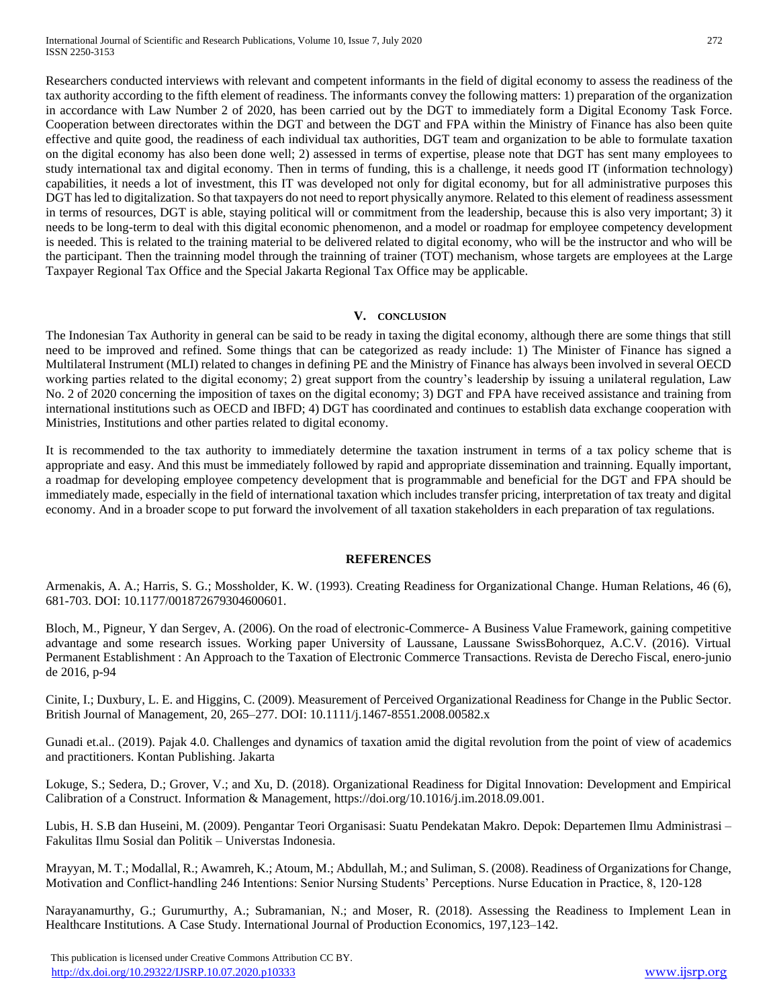Researchers conducted interviews with relevant and competent informants in the field of digital economy to assess the readiness of the tax authority according to the fifth element of readiness. The informants convey the following matters: 1) preparation of the organization in accordance with Law Number 2 of 2020, has been carried out by the DGT to immediately form a Digital Economy Task Force. Cooperation between directorates within the DGT and between the DGT and FPA within the Ministry of Finance has also been quite effective and quite good, the readiness of each individual tax authorities, DGT team and organization to be able to formulate taxation on the digital economy has also been done well; 2) assessed in terms of expertise, please note that DGT has sent many employees to study international tax and digital economy. Then in terms of funding, this is a challenge, it needs good IT (information technology) capabilities, it needs a lot of investment, this IT was developed not only for digital economy, but for all administrative purposes this DGT has led to digitalization. So that taxpayers do not need to report physically anymore. Related to this element of readiness assessment in terms of resources, DGT is able, staying political will or commitment from the leadership, because this is also very important; 3) it

needs to be long-term to deal with this digital economic phenomenon, and a model or roadmap for employee competency development is needed. This is related to the training material to be delivered related to digital economy, who will be the instructor and who will be the participant. Then the trainning model through the trainning of trainer (TOT) mechanism, whose targets are employees at the Large Taxpayer Regional Tax Office and the Special Jakarta Regional Tax Office may be applicable.

#### **V. CONCLUSION**

The Indonesian Tax Authority in general can be said to be ready in taxing the digital economy, although there are some things that still need to be improved and refined. Some things that can be categorized as ready include: 1) The Minister of Finance has signed a Multilateral Instrument (MLI) related to changes in defining PE and the Ministry of Finance has always been involved in several OECD working parties related to the digital economy; 2) great support from the country's leadership by issuing a unilateral regulation, Law No. 2 of 2020 concerning the imposition of taxes on the digital economy; 3) DGT and FPA have received assistance and training from international institutions such as OECD and IBFD; 4) DGT has coordinated and continues to establish data exchange cooperation with Ministries, Institutions and other parties related to digital economy.

It is recommended to the tax authority to immediately determine the taxation instrument in terms of a tax policy scheme that is appropriate and easy. And this must be immediately followed by rapid and appropriate dissemination and trainning. Equally important, a roadmap for developing employee competency development that is programmable and beneficial for the DGT and FPA should be immediately made, especially in the field of international taxation which includes transfer pricing, interpretation of tax treaty and digital economy. And in a broader scope to put forward the involvement of all taxation stakeholders in each preparation of tax regulations.

#### **REFERENCES**

Armenakis, A. A.; Harris, S. G.; Mossholder, K. W. (1993). Creating Readiness for Organizational Change. Human Relations, 46 (6), 681-703. DOI: 10.1177/001872679304600601.

Bloch, M., Pigneur, Y dan Sergev, A. (2006). On the road of electronic-Commerce- A Business Value Framework, gaining competitive advantage and some research issues. Working paper University of Laussane, Laussane SwissBohorquez, A.C.V. (2016). Virtual Permanent Establishment : An Approach to the Taxation of Electronic Commerce Transactions. Revista de Derecho Fiscal, enero-junio de 2016, p-94

Cinite, I.; Duxbury, L. E. and Higgins, C. (2009). Measurement of Perceived Organizational Readiness for Change in the Public Sector. British Journal of Management, 20, 265–277. DOI: 10.1111/j.1467-8551.2008.00582.x

Gunadi et.al.. (2019). Pajak 4.0. Challenges and dynamics of taxation amid the digital revolution from the point of view of academics and practitioners. Kontan Publishing. Jakarta

Lokuge, S.; Sedera, D.; Grover, V.; and Xu, D. (2018). Organizational Readiness for Digital Innovation: Development and Empirical Calibration of a Construct. Information & Management, https://doi.org/10.1016/j.im.2018.09.001.

Lubis, H. S.B dan Huseini, M. (2009). Pengantar Teori Organisasi: Suatu Pendekatan Makro. Depok: Departemen Ilmu Administrasi – Fakulitas Ilmu Sosial dan Politik – Universtas Indonesia.

Mrayyan, M. T.; Modallal, R.; Awamreh, K.; Atoum, M.; Abdullah, M.; and Suliman, S. (2008). Readiness of Organizations for Change, Motivation and Conflict-handling 246 Intentions: Senior Nursing Students' Perceptions. Nurse Education in Practice, 8, 120-128

Narayanamurthy, G.; Gurumurthy, A.; Subramanian, N.; and Moser, R. (2018). Assessing the Readiness to Implement Lean in Healthcare Institutions. A Case Study. International Journal of Production Economics, 197,123–142.